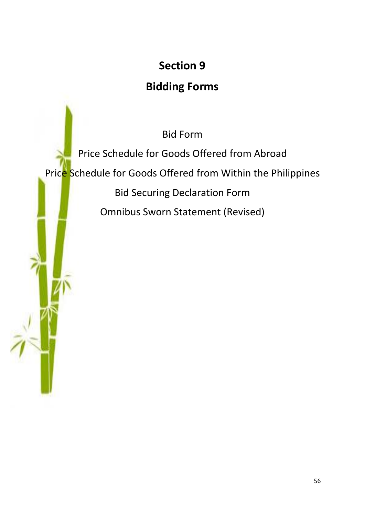# **Section 9**

## **Bidding Forms**

Bid Form

Price Schedule for Goods Offered from Abroad Price Schedule for Goods Offered from Within the Philippines Bid Securing Declaration Form Omnibus Sworn Statement (Revised)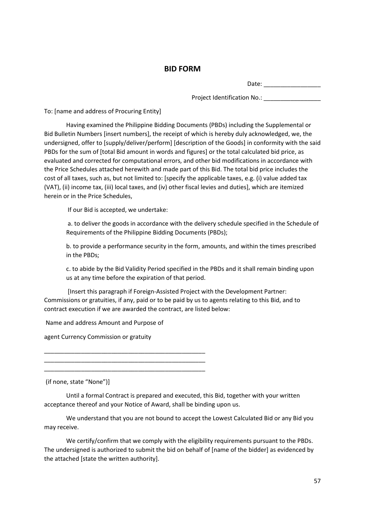#### **BID FORM**

Date: \_\_\_\_\_\_\_\_\_\_\_\_\_\_\_\_\_

Project Identification No.:

To: [name and address of Procuring Entity]

Having examined the Philippine Bidding Documents (PBDs) including the Supplemental or Bid Bulletin Numbers [insert numbers], the receipt of which is hereby duly acknowledged, we, the undersigned, offer to [supply/deliver/perform] [description of the Goods] in conformity with the said PBDs for the sum of [total Bid amount in words and figures] or the total calculated bid price, as evaluated and corrected for computational errors, and other bid modifications in accordance with the Price Schedules attached herewith and made part of this Bid. The total bid price includes the cost of all taxes, such as, but not limited to: [specify the applicable taxes, e.g. (i) value added tax (VAT), (ii) income tax, (iii) local taxes, and (iv) other fiscal levies and duties], which are itemized herein or in the Price Schedules,

If our Bid is accepted, we undertake:

a. to deliver the goods in accordance with the delivery schedule specified in the Schedule of Requirements of the Philippine Bidding Documents (PBDs);

b. to provide a performance security in the form, amounts, and within the times prescribed in the PBDs;

c. to abide by the Bid Validity Period specified in the PBDs and it shall remain binding upon us at any time before the expiration of that period.

[Insert this paragraph if Foreign-Assisted Project with the Development Partner: Commissions or gratuities, if any, paid or to be paid by us to agents relating to this Bid, and to contract execution if we are awarded the contract, are listed below:

Name and address Amount and Purpose of

\_\_\_\_\_\_\_\_\_\_\_\_\_\_\_\_\_\_\_\_\_\_\_\_\_\_\_\_\_\_\_\_\_\_\_\_\_\_\_\_\_\_\_\_\_\_\_\_ \_\_\_\_\_\_\_\_\_\_\_\_\_\_\_\_\_\_\_\_\_\_\_\_\_\_\_\_\_\_\_\_\_\_\_\_\_\_\_\_\_\_\_\_\_\_\_\_ \_\_\_\_\_\_\_\_\_\_\_\_\_\_\_\_\_\_\_\_\_\_\_\_\_\_\_\_\_\_\_\_\_\_\_\_\_\_\_\_\_\_\_\_\_\_\_\_

agent Currency Commission or gratuity

(if none, state "None")]

Until a formal Contract is prepared and executed, this Bid, together with your written acceptance thereof and your Notice of Award, shall be binding upon us.

We understand that you are not bound to accept the Lowest Calculated Bid or any Bid you may receive.

We certify/confirm that we comply with the eligibility requirements pursuant to the PBDs. The undersigned is authorized to submit the bid on behalf of [name of the bidder] as evidenced by the attached [state the written authority].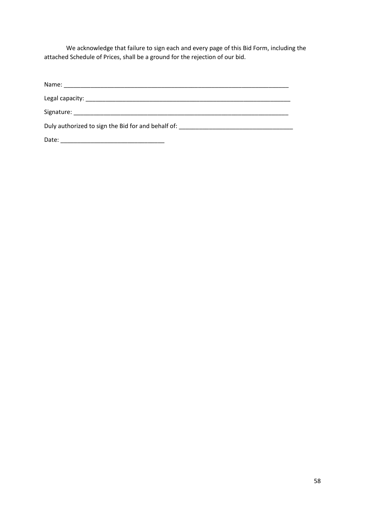We acknowledge that failure to sign each and every page of this Bid Form, including the attached Schedule of Prices, shall be a ground for the rejection of our bid.

| Duly authorized to sign the Bid for and behalf of: Demonstrational control of the state of the state of the state of the state of the state of the state of the state of the state of the state of the state of the state of t |  |
|--------------------------------------------------------------------------------------------------------------------------------------------------------------------------------------------------------------------------------|--|
| Date:                                                                                                                                                                                                                          |  |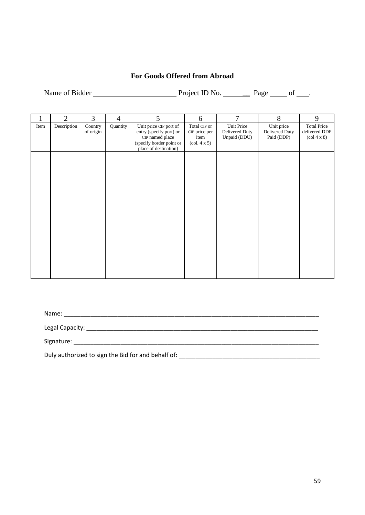## **For Goods Offered from Abroad**

Name of Bidder Project ID No. Page of ...

1 2 3 4 5 6 7 8 9 Item Description Country of origin Quantity Unit price CIF port of entry (specify port) or CIP named place (specify border point or place of destination) Total CIF or CIP price per item (col. 4 x 5) Unit Price Delivered Duty Unpaid (DDU) Unit price Delivered Duty Paid (DDP) Total Price delivered DDP (col 4 x 8)

Name: \_\_\_\_\_\_\_\_\_\_\_\_\_\_\_\_\_\_\_\_\_\_\_\_\_\_\_\_\_\_\_\_\_\_\_\_\_\_\_\_\_\_\_\_\_\_\_\_\_\_\_\_\_\_\_\_\_\_\_\_\_\_\_\_\_\_\_\_\_\_\_\_\_\_\_\_ Legal Capacity: \_\_\_\_\_\_\_\_\_\_\_\_\_\_\_\_\_\_\_\_\_\_\_\_\_\_\_\_\_\_\_\_\_\_\_\_\_\_\_\_\_\_\_\_\_\_\_\_\_\_\_\_\_\_\_\_\_\_\_\_\_\_\_\_\_\_\_\_\_ Signature: \_\_\_\_\_\_\_\_\_\_\_\_\_\_\_\_\_\_\_\_\_\_\_\_\_\_\_\_\_\_\_\_\_\_\_\_\_\_\_\_\_\_\_\_\_\_\_\_\_\_\_\_\_\_\_\_\_\_\_\_\_\_\_\_\_\_\_\_\_\_\_\_\_ Duly authorized to sign the Bid for and behalf of: \_\_\_\_\_\_\_\_\_\_\_\_\_\_\_\_\_\_\_\_\_\_\_\_\_\_\_\_\_\_\_\_\_\_\_\_\_\_\_\_\_\_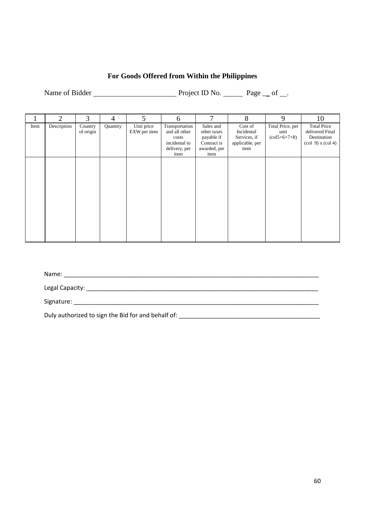## **For Goods Offered from Within the Philippines**

Name of Bidder Project ID No. Page \_\_ of \_\_.

|      | 2           | 3                    | 4        | 5                          | 6                                                                                  | 7                                                                             | 8                                                                | 9                                                             | 10                                                                                                                  |
|------|-------------|----------------------|----------|----------------------------|------------------------------------------------------------------------------------|-------------------------------------------------------------------------------|------------------------------------------------------------------|---------------------------------------------------------------|---------------------------------------------------------------------------------------------------------------------|
| Item | Description | Country<br>of origin | Quantity | Unit price<br>EXW per item | Transportation<br>and all other<br>costs<br>incidental to<br>delivery, per<br>item | Sales and<br>other taxes<br>payable if<br>Contract is<br>awarded, per<br>item | Cost of<br>Incidental<br>Services, if<br>applicable, per<br>item | Total Price, per<br>unit<br>$\left(\frac{15+6+7+8}{2}\right)$ | <b>Total Price</b><br>delivered Final<br>Destination<br>$\left(\text{col } 9\right)$ x $\left(\text{col } 4\right)$ |
|      |             |                      |          |                            |                                                                                    |                                                                               |                                                                  |                                                               |                                                                                                                     |
|      |             |                      |          |                            |                                                                                    |                                                                               |                                                                  |                                                               |                                                                                                                     |

Name: \_\_\_\_\_\_\_\_\_\_\_\_\_\_\_\_\_\_\_\_\_\_\_\_\_\_\_\_\_\_\_\_\_\_\_\_\_\_\_\_\_\_\_\_\_\_\_\_\_\_\_\_\_\_\_\_\_\_\_\_\_\_\_\_\_\_\_\_\_\_\_\_\_\_\_\_

Legal Capacity: \_\_\_\_\_\_\_\_\_\_\_\_\_\_\_\_\_\_\_\_\_\_\_\_\_\_\_\_\_\_\_\_\_\_\_\_\_\_\_\_\_\_\_\_\_\_\_\_\_\_\_\_\_\_\_\_\_\_\_\_\_\_\_\_\_\_\_\_\_

Signature: \_\_\_\_\_\_\_\_\_\_\_\_\_\_\_\_\_\_\_\_\_\_\_\_\_\_\_\_\_\_\_\_\_\_\_\_\_\_\_\_\_\_\_\_\_\_\_\_\_\_\_\_\_\_\_\_\_\_\_\_\_\_\_\_\_\_\_\_\_\_\_\_\_

Duly authorized to sign the Bid for and behalf of: \_\_\_\_\_\_\_\_\_\_\_\_\_\_\_\_\_\_\_\_\_\_\_\_\_\_\_\_\_\_\_\_\_\_\_\_\_\_\_\_\_\_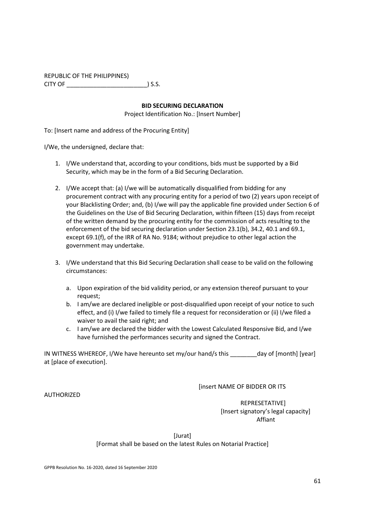## REPUBLIC OF THE PHILIPPINES)

CITY OF \_\_\_\_\_\_\_\_\_\_\_\_\_\_\_\_\_\_\_\_\_\_\_\_) S.S.

#### **BID SECURING DECLARATION**

Project Identification No.: [Insert Number]

To: [Insert name and address of the Procuring Entity]

I/We, the undersigned, declare that:

- 1. I/We understand that, according to your conditions, bids must be supported by a Bid Security, which may be in the form of a Bid Securing Declaration.
- 2. I/We accept that: (a) I/we will be automatically disqualified from bidding for any procurement contract with any procuring entity for a period of two (2) years upon receipt of your Blacklisting Order; and, (b) I/we will pay the applicable fine provided under Section 6 of the Guidelines on the Use of Bid Securing Declaration, within fifteen (15) days from receipt of the written demand by the procuring entity for the commission of acts resulting to the enforcement of the bid securing declaration under Section 23.1(b), 34.2, 40.1 and 69.1, except 69.1(f), of the IRR of RA No. 9184; without prejudice to other legal action the government may undertake.
- 3. I/We understand that this Bid Securing Declaration shall cease to be valid on the following circumstances:
	- a. Upon expiration of the bid validity period, or any extension thereof pursuant to your request;
	- b. I am/we are declared ineligible or post-disqualified upon receipt of your notice to such effect, and (i) I/we failed to timely file a request for reconsideration or (ii) I/we filed a waiver to avail the said right; and
	- c. I am/we are declared the bidder with the Lowest Calculated Responsive Bid, and I/we have furnished the performances security and signed the Contract.

IN WITNESS WHEREOF, I/We have hereunto set my/our hand/s this day of [month] [year] at [place of execution].

[insert NAME OF BIDDER OR ITS

 REPRESETATIVE] [Insert signatory's legal capacity] Affiant

[Jurat]

[Format shall be based on the latest Rules on Notarial Practice]

AUTHORIZED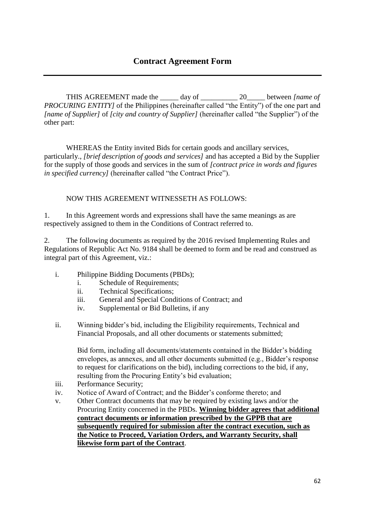THIS AGREEMENT made the day of  $20$  between *[name of PROCURING ENTITYI* of the Philippines (hereinafter called "the Entity") of the one part and *[name of Supplier]* of *[city and country of Supplier]* (hereinafter called "the Supplier") of the other part:

WHEREAS the Entity invited Bids for certain goods and ancillary services, particularly., *[brief description of goods and services]* and has accepted a Bid by the Supplier for the supply of those goods and services in the sum of *[contract price in words and figures in specified currency]* (hereinafter called "the Contract Price").

## NOW THIS AGREEMENT WITNESSETH AS FOLLOWS:

1. In this Agreement words and expressions shall have the same meanings as are respectively assigned to them in the Conditions of Contract referred to.

2. The following documents as required by the 2016 revised Implementing Rules and Regulations of Republic Act No. 9184 shall be deemed to form and be read and construed as integral part of this Agreement, viz.:

- i. Philippine Bidding Documents (PBDs);
	- i. Schedule of Requirements;
	- ii. Technical Specifications;
	- iii. General and Special Conditions of Contract; and
	- iv. Supplemental or Bid Bulletins, if any
- ii. Winning bidder's bid, including the Eligibility requirements, Technical and Financial Proposals, and all other documents or statements submitted;

Bid form, including all documents/statements contained in the Bidder's bidding envelopes, as annexes, and all other documents submitted (e.g., Bidder's response to request for clarifications on the bid), including corrections to the bid, if any, resulting from the Procuring Entity's bid evaluation;

- iii. Performance Security;
- iv. Notice of Award of Contract; and the Bidder's conforme thereto; and
- v. Other Contract documents that may be required by existing laws and/or the Procuring Entity concerned in the PBDs. **Winning bidder agrees that additional contract documents or information prescribed by the GPPB that are subsequently required for submission after the contract execution, such as the Notice to Proceed, Variation Orders, and Warranty Security, shall likewise form part of the Contract**.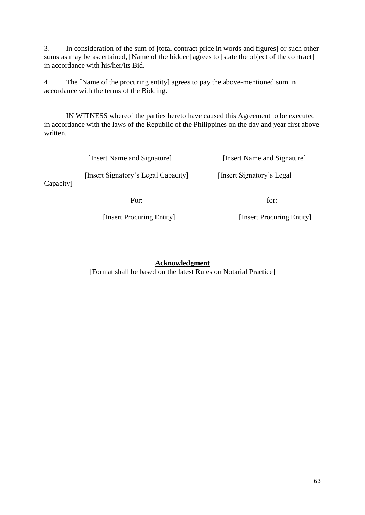3. In consideration of the sum of [total contract price in words and figures] or such other sums as may be ascertained, [Name of the bidder] agrees to [state the object of the contract] in accordance with his/her/its Bid.

4. The [Name of the procuring entity] agrees to pay the above-mentioned sum in accordance with the terms of the Bidding.

IN WITNESS whereof the parties hereto have caused this Agreement to be executed in accordance with the laws of the Republic of the Philippines on the day and year first above written.

|           | [Insert Name and Signature]         | [Insert Name and Signature] |
|-----------|-------------------------------------|-----------------------------|
| Capacity] | [Insert Signatory's Legal Capacity] | [Insert Signatory's Legal]  |
|           | For:                                | for:                        |

[Insert Procuring Entity] [Insert Procuring Entity]

**Acknowledgment**

[Format shall be based on the latest Rules on Notarial Practice]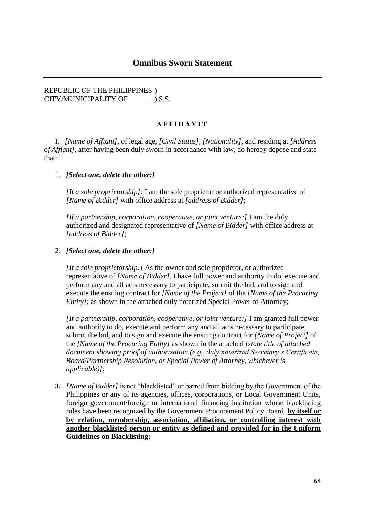#### REPUBLIC OF THE PHILIPPINES ) CITY/MUNICIPALITY OF  $\qquad$  ) S.S.

#### **A F F I D A V I T**

I, *[Name of Affiant]*, of legal age, *[Civil Status]*, *[Nationality]*, and residing at *[Address of Affiant]*, after having been duly sworn in accordance with law, do hereby depose and state that:

#### 1. *[Select one, delete the other:]*

*[If a sole proprietorship]:* I am the sole proprietor or authorized representative of *[Name of Bidder]* with office address at *[address of Bidder]*;

*[If a partnership, corporation, cooperative, or joint venture:]* I am the duly authorized and designated representative of *[Name of Bidder]* with office address at *[address of Bidder]*;

#### 2. *[Select one, delete the other:]*

*[If a sole proprietorship:]* As the owner and sole proprietor, or authorized representative of *[Name of Bidder]*, I have full power and authority to do, execute and perform any and all acts necessary to participate, submit the bid, and to sign and execute the ensuing contract for *[Name of the Project]* of the *[Name of the Procuring Entity]*; as shown in the attached duly notarized Special Power of Attorney;

*[If a partnership, corporation, cooperative, or joint venture:]* I am granted full power and authority to do, execute and perform any and all acts necessary to participate, submit the bid, and to sign and execute the ensuing contract for *[Name of Project]* of the *[Name of the Procuring Entity]* as shown in the attached *[state title of attached document showing proof of authorization (e.g., duly notarized Secretary's Certificate, Board/Partnership Resolution, or Special Power of Attorney, whichever is applicable)]*;

**3.** *[Name of Bidder]* is not "blacklisted" or barred from bidding by the Government of the Philippines or any of its agencies, offices, corporations, or Local Government Units, foreign government/foreign or international financing institution whose blacklisting rules have been recognized by the Government Procurement Policy Board, **by itself or by relation, membership, association, affiliation, or controlling interest with another blacklisted person or entity as defined and provided for in the Uniform Guidelines on Blacklisting;**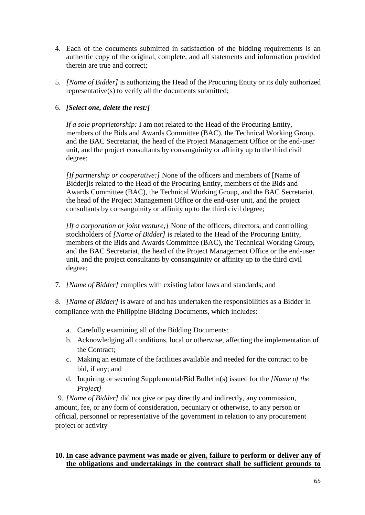- 4. Each of the documents submitted in satisfaction of the bidding requirements is an authentic copy of the original, complete, and all statements and information provided therein are true and correct;
- 5. *[Name of Bidder]* is authorizing the Head of the Procuring Entity or its duly authorized representative(s) to verify all the documents submitted;

## 6. *[Select one, delete the rest:]*

*If a sole proprietorship:* I am not related to the Head of the Procuring Entity, members of the Bids and Awards Committee (BAC), the Technical Working Group, and the BAC Secretariat, the head of the Project Management Office or the end-user unit, and the project consultants by consanguinity or affinity up to the third civil degree;

*[If partnership or cooperative:]* None of the officers and members of [Name of Bidder lis related to the Head of the Procuring Entity, members of the Bids and Awards Committee (BAC), the Technical Working Group, and the BAC Secretariat, the head of the Project Management Office or the end-user unit, and the project consultants by consanguinity or affinity up to the third civil degree;

*[If a corporation or joint venture;]* None of the officers, directors, and controlling stockholders of *[Name of Bidder]* is related to the Head of the Procuring Entity, members of the Bids and Awards Committee (BAC), the Technical Working Group, and the BAC Secretariat, the head of the Project Management Office or the end-user unit, and the project consultants by consanguinity or affinity up to the third civil degree;

7. *[Name of Bidder]* complies with existing labor laws and standards; and

8. *[Name of Bidder]* is aware of and has undertaken the responsibilities as a Bidder in compliance with the Philippine Bidding Documents, which includes:

- a. Carefully examining all of the Bidding Documents;
- b. Acknowledging all conditions, local or otherwise, affecting the implementation of the Contract;
- c. Making an estimate of the facilities available and needed for the contract to be bid, if any; and
- d. Inquiring or securing Supplemental/Bid Bulletin(s) issued for the *[Name of the Project]*

9. *[Name of Bidder]* did not give or pay directly and indirectly, any commission, amount, fee, or any form of consideration, pecuniary or otherwise, to any person or official, personnel or representative of the government in relation to any procurement project or activity

#### **10. In case advance payment was made or given, failure to perform or deliver any of the obligations and undertakings in the contract shall be sufficient grounds to**